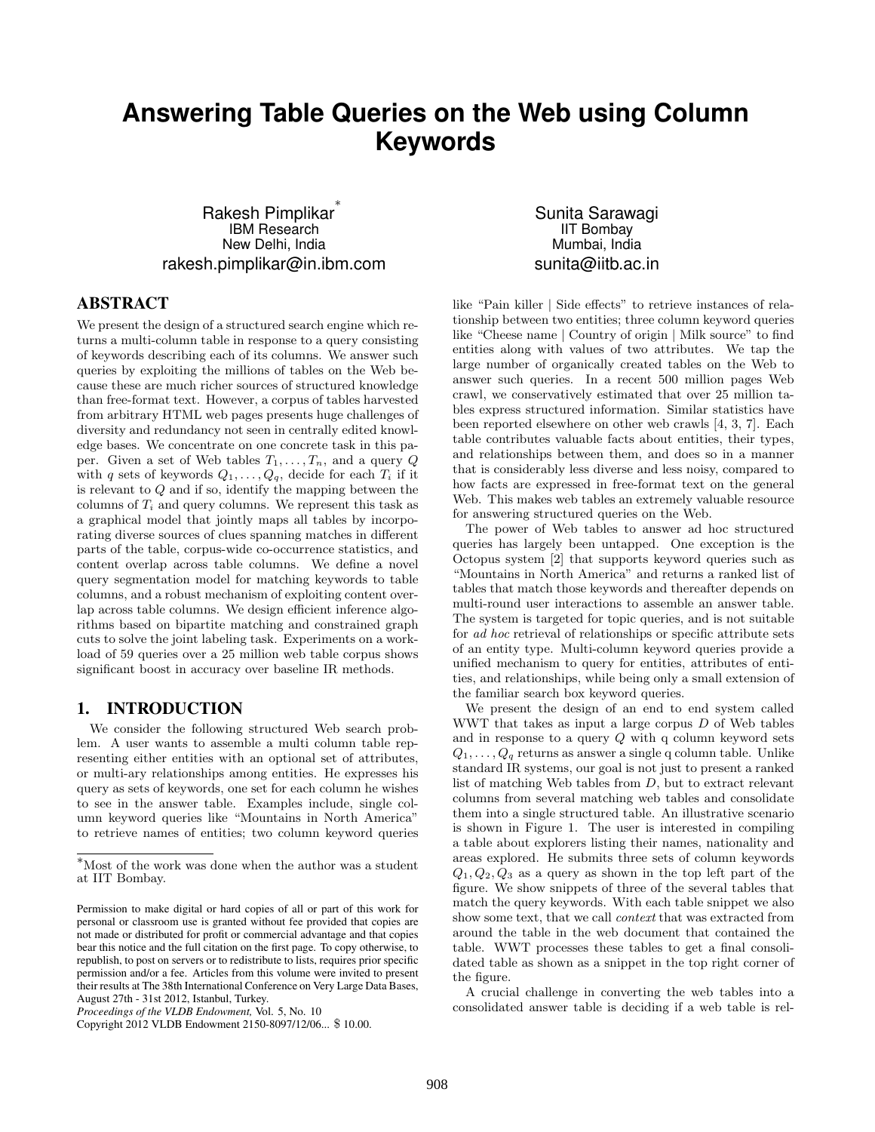# **Answering Table Queries on the Web using Column Keywords**

Rakesh Pimplikar ∗ IBM Research New Delhi, India rakesh.pimplikar@in.ibm.com

# ABSTRACT

We present the design of a structured search engine which returns a multi-column table in response to a query consisting of keywords describing each of its columns. We answer such queries by exploiting the millions of tables on the Web because these are much richer sources of structured knowledge than free-format text. However, a corpus of tables harvested from arbitrary HTML web pages presents huge challenges of diversity and redundancy not seen in centrally edited knowledge bases. We concentrate on one concrete task in this paper. Given a set of Web tables  $T_1, \ldots, T_n$ , and a query Q with q sets of keywords  $Q_1, \ldots, Q_q$ , decide for each  $T_i$  if it is relevant to Q and if so, identify the mapping between the columns of  $T_i$  and query columns. We represent this task as a graphical model that jointly maps all tables by incorporating diverse sources of clues spanning matches in different parts of the table, corpus-wide co-occurrence statistics, and content overlap across table columns. We define a novel query segmentation model for matching keywords to table columns, and a robust mechanism of exploiting content overlap across table columns. We design efficient inference algorithms based on bipartite matching and constrained graph cuts to solve the joint labeling task. Experiments on a workload of 59 queries over a 25 million web table corpus shows significant boost in accuracy over baseline IR methods.

# 1. INTRODUCTION

We consider the following structured Web search problem. A user wants to assemble a multi column table representing either entities with an optional set of attributes, or multi-ary relationships among entities. He expresses his query as sets of keywords, one set for each column he wishes to see in the answer table. Examples include, single column keyword queries like "Mountains in North America" to retrieve names of entities; two column keyword queries

*Proceedings of the VLDB Endowment,* Vol. 5, No. 10

Sunita Sarawagi IIT Bombay Mumbai, India sunita@iitb.ac.in

like "Pain killer | Side effects" to retrieve instances of relationship between two entities; three column keyword queries like "Cheese name | Country of origin | Milk source" to find entities along with values of two attributes. We tap the large number of organically created tables on the Web to answer such queries. In a recent 500 million pages Web crawl, we conservatively estimated that over 25 million tables express structured information. Similar statistics have been reported elsewhere on other web crawls [4, 3, 7]. Each table contributes valuable facts about entities, their types, and relationships between them, and does so in a manner that is considerably less diverse and less noisy, compared to how facts are expressed in free-format text on the general Web. This makes web tables an extremely valuable resource for answering structured queries on the Web.

The power of Web tables to answer ad hoc structured queries has largely been untapped. One exception is the Octopus system [2] that supports keyword queries such as "Mountains in North America" and returns a ranked list of tables that match those keywords and thereafter depends on multi-round user interactions to assemble an answer table. The system is targeted for topic queries, and is not suitable for ad hoc retrieval of relationships or specific attribute sets of an entity type. Multi-column keyword queries provide a unified mechanism to query for entities, attributes of entities, and relationships, while being only a small extension of the familiar search box keyword queries.

We present the design of an end to end system called WWT that takes as input a large corpus  $D$  of Web tables and in response to a query Q with q column keyword sets  $Q_1, \ldots, Q_q$  returns as answer a single q column table. Unlike standard IR systems, our goal is not just to present a ranked list of matching Web tables from D, but to extract relevant columns from several matching web tables and consolidate them into a single structured table. An illustrative scenario is shown in Figure 1. The user is interested in compiling a table about explorers listing their names, nationality and areas explored. He submits three sets of column keywords  $Q_1, Q_2, Q_3$  as a query as shown in the top left part of the figure. We show snippets of three of the several tables that match the query keywords. With each table snippet we also show some text, that we call context that was extracted from around the table in the web document that contained the table. WWT processes these tables to get a final consolidated table as shown as a snippet in the top right corner of the figure.

A crucial challenge in converting the web tables into a consolidated answer table is deciding if a web table is rel-

<sup>∗</sup>Most of the work was done when the author was a student at IIT Bombay.

Permission to make digital or hard copies of all or part of this work for personal or classroom use is granted without fee provided that copies are not made or distributed for profit or commercial advantage and that copies bear this notice and the full citation on the first page. To copy otherwise, to republish, to post on servers or to redistribute to lists, requires prior specific permission and/or a fee. Articles from this volume were invited to present their results at The 38th International Conference on Very Large Data Bases, August 27th - 31st 2012, Istanbul, Turkey.

Copyright 2012 VLDB Endowment 2150-8097/12/06... \$ 10.00.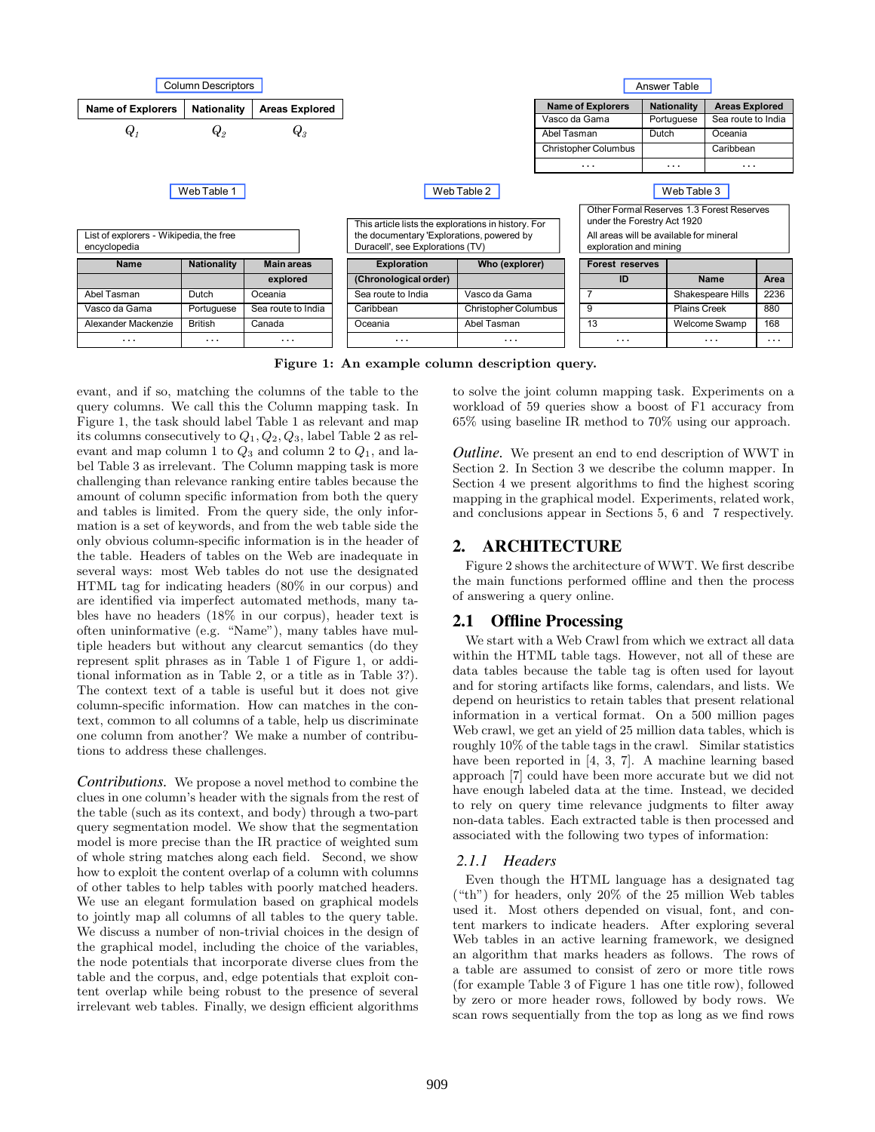|                                                                        | <b>Column Descriptors</b> |                       |                                                                                                                                      |                             |                             | Answer Table                                                                                                                                                 |                       |          |  |
|------------------------------------------------------------------------|---------------------------|-----------------------|--------------------------------------------------------------------------------------------------------------------------------------|-----------------------------|-----------------------------|--------------------------------------------------------------------------------------------------------------------------------------------------------------|-----------------------|----------|--|
| <b>Name of Explorers</b>                                               | <b>Nationality</b>        | <b>Areas Explored</b> |                                                                                                                                      |                             | <b>Name of Explorers</b>    | <b>Nationality</b>                                                                                                                                           | <b>Areas Explored</b> |          |  |
|                                                                        |                           |                       |                                                                                                                                      |                             | Vasco da Gama               | Portuguese                                                                                                                                                   | Sea route to India    |          |  |
| $Q_{I}$                                                                | $Q_{2}$                   | $Q_{3}$               |                                                                                                                                      |                             | Abel Tasman                 | Dutch                                                                                                                                                        | Oceania               |          |  |
|                                                                        |                           |                       |                                                                                                                                      |                             | <b>Christopher Columbus</b> |                                                                                                                                                              | Caribbean             |          |  |
|                                                                        |                           |                       |                                                                                                                                      |                             | $\cdots$                    | $\cdots$                                                                                                                                                     | $\cdots$              |          |  |
| Web Table 1<br>List of explorers - Wikipedia, the free<br>encyclopedia |                           |                       | This article lists the explorations in history. For<br>the documentary 'Explorations, powered by<br>Duracell', see Explorations (TV) | Web Table 2                 |                             | Web Table 3<br>Other Formal Reserves 1.3 Forest Reserves<br>under the Forestry Act 1920<br>All areas will be available for mineral<br>exploration and mining |                       |          |  |
| <b>Name</b>                                                            | <b>Nationality</b>        | <b>Main areas</b>     | <b>Exploration</b>                                                                                                                   | Who (explorer)              | <b>Forest reserves</b>      |                                                                                                                                                              |                       |          |  |
|                                                                        |                           | explored              | (Chronological order)                                                                                                                |                             | ID                          |                                                                                                                                                              | <b>Name</b>           | Area     |  |
| Abel Tasman                                                            | Dutch                     | Oceania               | Sea route to India                                                                                                                   | Vasco da Gama               | $\overline{7}$              |                                                                                                                                                              | Shakespeare Hills     | 2236     |  |
| Vasco da Gama                                                          | Portuguese                | Sea route to India    | Caribbean                                                                                                                            | <b>Christopher Columbus</b> | 9                           | Plains Creek                                                                                                                                                 |                       | 880      |  |
| Alexander Mackenzie                                                    | British                   | Canada                | Oceania                                                                                                                              | Abel Tasman                 | 13                          |                                                                                                                                                              | Welcome Swamp         | 168      |  |
| $\cdots$                                                               | $\cdots$                  | .                     | $\cdots$                                                                                                                             | $\cdots$                    | $\cdots$                    |                                                                                                                                                              | $\cdots$              | $\cdots$ |  |

Figure 1: An example column description query.

evant, and if so, matching the columns of the table to the query columns. We call this the Column mapping task. In Figure 1, the task should label Table 1 as relevant and map its columns consecutively to  $Q_1, Q_2, Q_3$ , label Table 2 as relevant and map column 1 to  $Q_3$  and column 2 to  $Q_1$ , and label Table 3 as irrelevant. The Column mapping task is more challenging than relevance ranking entire tables because the amount of column specific information from both the query and tables is limited. From the query side, the only information is a set of keywords, and from the web table side the only obvious column-specific information is in the header of the table. Headers of tables on the Web are inadequate in several ways: most Web tables do not use the designated HTML tag for indicating headers (80% in our corpus) and are identified via imperfect automated methods, many tables have no headers (18% in our corpus), header text is often uninformative (e.g. "Name"), many tables have multiple headers but without any clearcut semantics (do they represent split phrases as in Table 1 of Figure 1, or additional information as in Table 2, or a title as in Table 3?). The context text of a table is useful but it does not give column-specific information. How can matches in the context, common to all columns of a table, help us discriminate one column from another? We make a number of contributions to address these challenges.

*Contributions.* We propose a novel method to combine the clues in one column's header with the signals from the rest of the table (such as its context, and body) through a two-part query segmentation model. We show that the segmentation model is more precise than the IR practice of weighted sum of whole string matches along each field. Second, we show how to exploit the content overlap of a column with columns of other tables to help tables with poorly matched headers. We use an elegant formulation based on graphical models to jointly map all columns of all tables to the query table. We discuss a number of non-trivial choices in the design of the graphical model, including the choice of the variables, the node potentials that incorporate diverse clues from the table and the corpus, and, edge potentials that exploit content overlap while being robust to the presence of several irrelevant web tables. Finally, we design efficient algorithms

to solve the joint column mapping task. Experiments on a workload of 59 queries show a boost of F1 accuracy from 65% using baseline IR method to 70% using our approach.

*Outline.* We present an end to end description of WWT in Section 2. In Section 3 we describe the column mapper. In Section 4 we present algorithms to find the highest scoring mapping in the graphical model. Experiments, related work, and conclusions appear in Sections 5, 6 and 7 respectively.

# 2. ARCHITECTURE

Figure 2 shows the architecture of WWT. We first describe the main functions performed offline and then the process of answering a query online.

# 2.1 Offline Processing

We start with a Web Crawl from which we extract all data within the HTML table tags. However, not all of these are data tables because the table tag is often used for layout and for storing artifacts like forms, calendars, and lists. We depend on heuristics to retain tables that present relational information in a vertical format. On a 500 million pages Web crawl, we get an yield of 25 million data tables, which is roughly 10% of the table tags in the crawl. Similar statistics have been reported in [4, 3, 7]. A machine learning based approach [7] could have been more accurate but we did not have enough labeled data at the time. Instead, we decided to rely on query time relevance judgments to filter away non-data tables. Each extracted table is then processed and associated with the following two types of information:

# *2.1.1 Headers*

Even though the HTML language has a designated tag ("th") for headers, only 20% of the 25 million Web tables used it. Most others depended on visual, font, and content markers to indicate headers. After exploring several Web tables in an active learning framework, we designed an algorithm that marks headers as follows. The rows of a table are assumed to consist of zero or more title rows (for example Table 3 of Figure 1 has one title row), followed by zero or more header rows, followed by body rows. We scan rows sequentially from the top as long as we find rows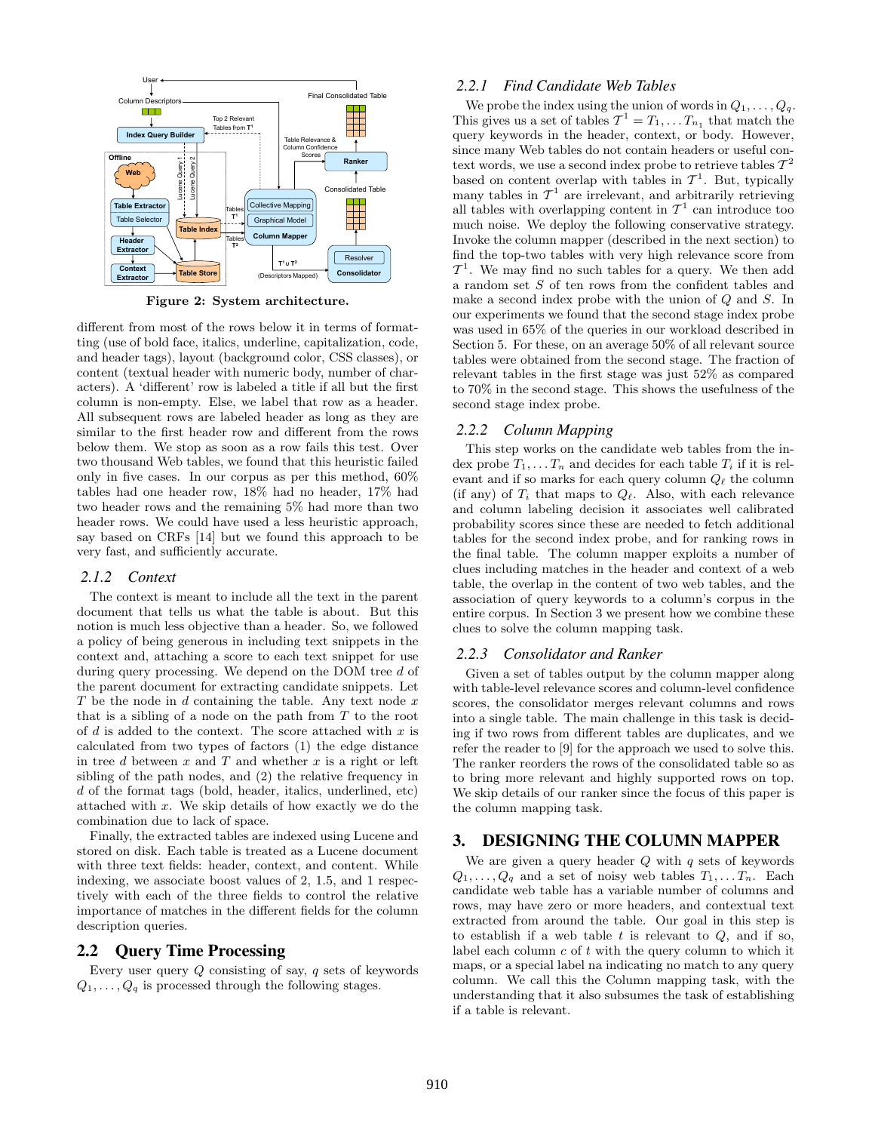

Figure 2: System architecture.

different from most of the rows below it in terms of formatting (use of bold face, italics, underline, capitalization, code, and header tags), layout (background color, CSS classes), or content (textual header with numeric body, number of characters). A 'different' row is labeled a title if all but the first column is non-empty. Else, we label that row as a header. All subsequent rows are labeled header as long as they are similar to the first header row and different from the rows below them. We stop as soon as a row fails this test. Over two thousand Web tables, we found that this heuristic failed only in five cases. In our corpus as per this method, 60% tables had one header row, 18% had no header, 17% had two header rows and the remaining 5% had more than two header rows. We could have used a less heuristic approach, say based on CRFs [14] but we found this approach to be very fast, and sufficiently accurate.

#### *2.1.2 Context*

The context is meant to include all the text in the parent document that tells us what the table is about. But this notion is much less objective than a header. So, we followed a policy of being generous in including text snippets in the context and, attaching a score to each text snippet for use during query processing. We depend on the DOM tree d of the parent document for extracting candidate snippets. Let  $T$  be the node in  $d$  containing the table. Any text node  $x$ that is a sibling of a node on the path from  $T$  to the root of  $d$  is added to the context. The score attached with  $x$  is calculated from two types of factors (1) the edge distance in tree  $d$  between  $x$  and  $T$  and whether  $x$  is a right or left sibling of the path nodes, and (2) the relative frequency in d of the format tags (bold, header, italics, underlined, etc) attached with x. We skip details of how exactly we do the combination due to lack of space.

Finally, the extracted tables are indexed using Lucene and stored on disk. Each table is treated as a Lucene document with three text fields: header, context, and content. While indexing, we associate boost values of 2, 1.5, and 1 respectively with each of the three fields to control the relative importance of matches in the different fields for the column description queries.

# 2.2 Query Time Processing

Every user query Q consisting of say, q sets of keywords  $Q_1, \ldots, Q_q$  is processed through the following stages.

### *2.2.1 Find Candidate Web Tables*

We probe the index using the union of words in  $Q_1, \ldots, Q_q$ . This gives us a set of tables  $\mathcal{T}^1 = T_1, \dots T_{n_1}$  that match the query keywords in the header, context, or body. However, since many Web tables do not contain headers or useful context words, we use a second index probe to retrieve tables  $T^2$ based on content overlap with tables in  $\mathcal{T}^1$ . But, typically many tables in  $\mathcal{T}^1$  are irrelevant, and arbitrarily retrieving all tables with overlapping content in  $\mathcal{T}^1$  can introduce too much noise. We deploy the following conservative strategy. Invoke the column mapper (described in the next section) to find the top-two tables with very high relevance score from  $\mathcal{T}^1$ . We may find no such tables for a query. We then add a random set S of ten rows from the confident tables and make a second index probe with the union of Q and S. In our experiments we found that the second stage index probe was used in 65% of the queries in our workload described in Section 5. For these, on an average 50% of all relevant source tables were obtained from the second stage. The fraction of relevant tables in the first stage was just 52% as compared to 70% in the second stage. This shows the usefulness of the second stage index probe.

## *2.2.2 Column Mapping*

This step works on the candidate web tables from the index probe  $T_1, \ldots, T_n$  and decides for each table  $T_i$  if it is relevant and if so marks for each query column  $Q_\ell$  the column (if any) of  $T_i$  that maps to  $Q_\ell$ . Also, with each relevance and column labeling decision it associates well calibrated probability scores since these are needed to fetch additional tables for the second index probe, and for ranking rows in the final table. The column mapper exploits a number of clues including matches in the header and context of a web table, the overlap in the content of two web tables, and the association of query keywords to a column's corpus in the entire corpus. In Section 3 we present how we combine these clues to solve the column mapping task.

#### *2.2.3 Consolidator and Ranker*

Given a set of tables output by the column mapper along with table-level relevance scores and column-level confidence scores, the consolidator merges relevant columns and rows into a single table. The main challenge in this task is deciding if two rows from different tables are duplicates, and we refer the reader to [9] for the approach we used to solve this. The ranker reorders the rows of the consolidated table so as to bring more relevant and highly supported rows on top. We skip details of our ranker since the focus of this paper is the column mapping task.

# 3. DESIGNING THE COLUMN MAPPER

We are given a query header  $Q$  with  $q$  sets of keywords  $Q_1, \ldots, Q_q$  and a set of noisy web tables  $T_1, \ldots, T_n$ . Each candidate web table has a variable number of columns and rows, may have zero or more headers, and contextual text extracted from around the table. Our goal in this step is to establish if a web table  $t$  is relevant to  $Q$ , and if so, label each column  $c$  of  $t$  with the query column to which it maps, or a special label na indicating no match to any query column. We call this the Column mapping task, with the understanding that it also subsumes the task of establishing if a table is relevant.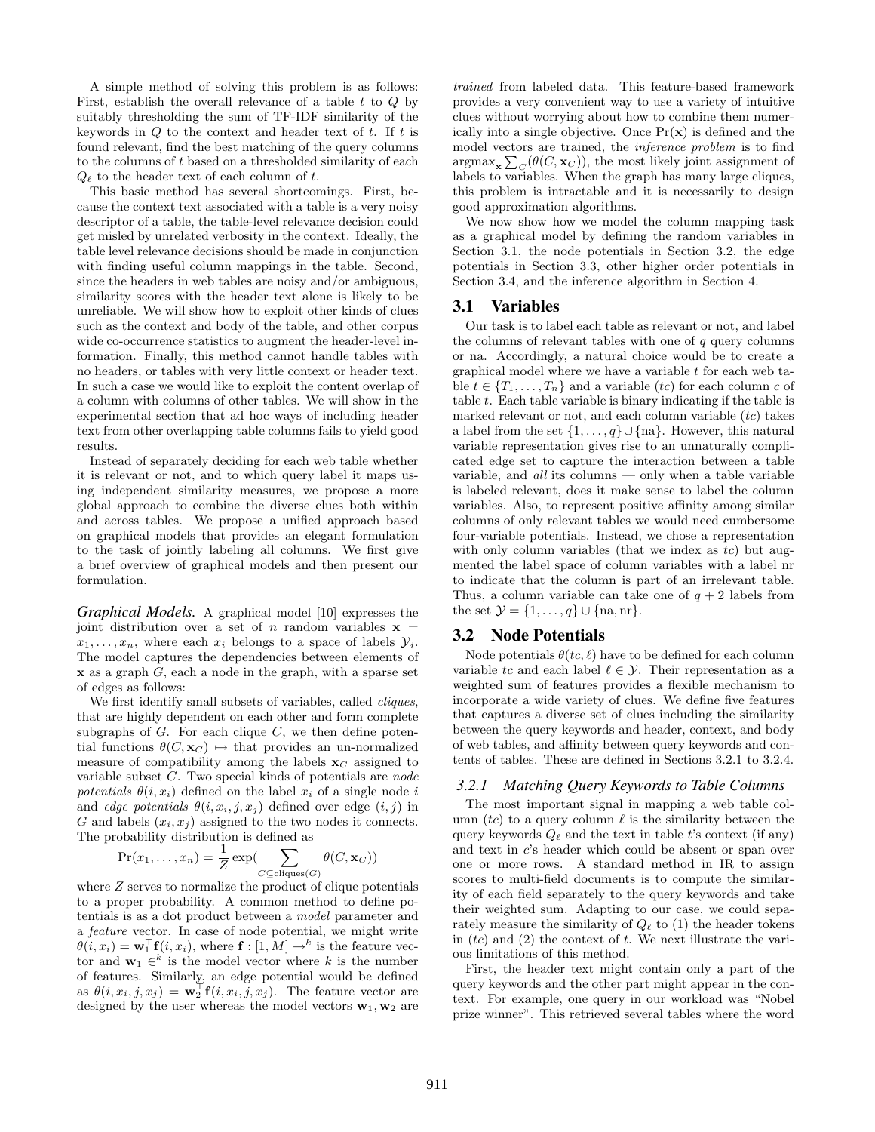A simple method of solving this problem is as follows: First, establish the overall relevance of a table  $t$  to  $Q$  by suitably thresholding the sum of TF-IDF similarity of the keywords in  $Q$  to the context and header text of  $t$ . If  $t$  is found relevant, find the best matching of the query columns to the columns of t based on a thresholded similarity of each  $Q_{\ell}$  to the header text of each column of t.

This basic method has several shortcomings. First, because the context text associated with a table is a very noisy descriptor of a table, the table-level relevance decision could get misled by unrelated verbosity in the context. Ideally, the table level relevance decisions should be made in conjunction with finding useful column mappings in the table. Second, since the headers in web tables are noisy and/or ambiguous, similarity scores with the header text alone is likely to be unreliable. We will show how to exploit other kinds of clues such as the context and body of the table, and other corpus wide co-occurrence statistics to augment the header-level information. Finally, this method cannot handle tables with no headers, or tables with very little context or header text. In such a case we would like to exploit the content overlap of a column with columns of other tables. We will show in the experimental section that ad hoc ways of including header text from other overlapping table columns fails to yield good results.

Instead of separately deciding for each web table whether it is relevant or not, and to which query label it maps using independent similarity measures, we propose a more global approach to combine the diverse clues both within and across tables. We propose a unified approach based on graphical models that provides an elegant formulation to the task of jointly labeling all columns. We first give a brief overview of graphical models and then present our formulation.

*Graphical Models.* A graphical model [10] expresses the joint distribution over a set of n random variables  $x =$  $x_1, \ldots, x_n$ , where each  $x_i$  belongs to a space of labels  $\mathcal{Y}_i$ . The model captures the dependencies between elements of  $x$  as a graph  $G$ , each a node in the graph, with a sparse set of edges as follows:

We first identify small subsets of variables, called *cliques*, that are highly dependent on each other and form complete subgraphs of  $G$ . For each clique  $C$ , we then define potential functions  $\theta(C, \mathbf{x}_C) \mapsto \text{that provides an un-normalized}$ measure of compatibility among the labels  $x_C$  assigned to variable subset C. Two special kinds of potentials are node potentials  $\theta(i, x_i)$  defined on the label  $x_i$  of a single node i and *edge potentials*  $\theta(i, x_i, j, x_j)$  defined over edge  $(i, j)$  in G and labels  $(x_i, x_j)$  assigned to the two nodes it connects. The probability distribution is defined as

$$
Pr(x_1,...,x_n) = \frac{1}{Z} exp(\sum_{C \subseteq \text{cliques}(G)} \theta(C, \mathbf{x}_C))
$$

where Z serves to normalize the product of clique potentials to a proper probability. A common method to define potentials is as a dot product between a model parameter and a feature vector. In case of node potential, we might write  $\theta(i, x_i) = \mathbf{w}_1^{\top} \mathbf{f}(i, x_i)$ , where  $\mathbf{f} : [1, M] \rightarrow^k$  is the feature vector and  $\mathbf{w}_1 \in k$  is the model vector where k is the number of features. Similarly, an edge potential would be defined as  $\theta(i, x_i, j, x_j) = \mathbf{w}_2^{\top} \mathbf{f}(i, x_i, j, x_j)$ . The feature vector are designed by the user whereas the model vectors  $\mathbf{w}_1, \mathbf{w}_2$  are

trained from labeled data. This feature-based framework provides a very convenient way to use a variety of intuitive clues without worrying about how to combine them numerically into a single objective. Once  $Pr(x)$  is defined and the model vectors are trained, the inference problem is to find  $\operatorname{argmax}_{\mathbf{x}} \sum_{C} (\theta(C, \mathbf{x}_C))$ , the most likely joint assignment of labels to variables. When the graph has many large cliques, this problem is intractable and it is necessarily to design good approximation algorithms.

We now show how we model the column mapping task as a graphical model by defining the random variables in Section 3.1, the node potentials in Section 3.2, the edge potentials in Section 3.3, other higher order potentials in Section 3.4, and the inference algorithm in Section 4.

# 3.1 Variables

Our task is to label each table as relevant or not, and label the columns of relevant tables with one of  $q$  query columns or na. Accordingly, a natural choice would be to create a graphical model where we have a variable  $t$  for each web table  $t \in \{T_1, \ldots, T_n\}$  and a variable  $(tc)$  for each column c of table  $t$ . Each table variable is binary indicating if the table is marked relevant or not, and each column variable  $(tc)$  takes a label from the set  $\{1, \ldots, q\} \cup \{na\}$ . However, this natural variable representation gives rise to an unnaturally complicated edge set to capture the interaction between a table variable, and  $all$  its columns  $-$  only when a table variable is labeled relevant, does it make sense to label the column variables. Also, to represent positive affinity among similar columns of only relevant tables we would need cumbersome four-variable potentials. Instead, we chose a representation with only column variables (that we index as  $tc$ ) but augmented the label space of column variables with a label nr to indicate that the column is part of an irrelevant table. Thus, a column variable can take one of  $q + 2$  labels from the set  $\mathcal{Y} = \{1, \ldots, q\} \cup \{\text{na}, \text{nr}\}.$ 

# 3.2 Node Potentials

Node potentials  $\theta(tc, \ell)$  have to be defined for each column variable tc and each label  $\ell \in \mathcal{Y}$ . Their representation as a weighted sum of features provides a flexible mechanism to incorporate a wide variety of clues. We define five features that captures a diverse set of clues including the similarity between the query keywords and header, context, and body of web tables, and affinity between query keywords and contents of tables. These are defined in Sections 3.2.1 to 3.2.4.

#### *3.2.1 Matching Query Keywords to Table Columns*

The most important signal in mapping a web table column (tc) to a query column  $\ell$  is the similarity between the query keywords  $Q_\ell$  and the text in table t's context (if any) and text in c's header which could be absent or span over one or more rows. A standard method in IR to assign scores to multi-field documents is to compute the similarity of each field separately to the query keywords and take their weighted sum. Adapting to our case, we could separately measure the similarity of  $Q_\ell$  to (1) the header tokens in  $(tc)$  and  $(2)$  the context of t. We next illustrate the various limitations of this method.

First, the header text might contain only a part of the query keywords and the other part might appear in the context. For example, one query in our workload was "Nobel prize winner". This retrieved several tables where the word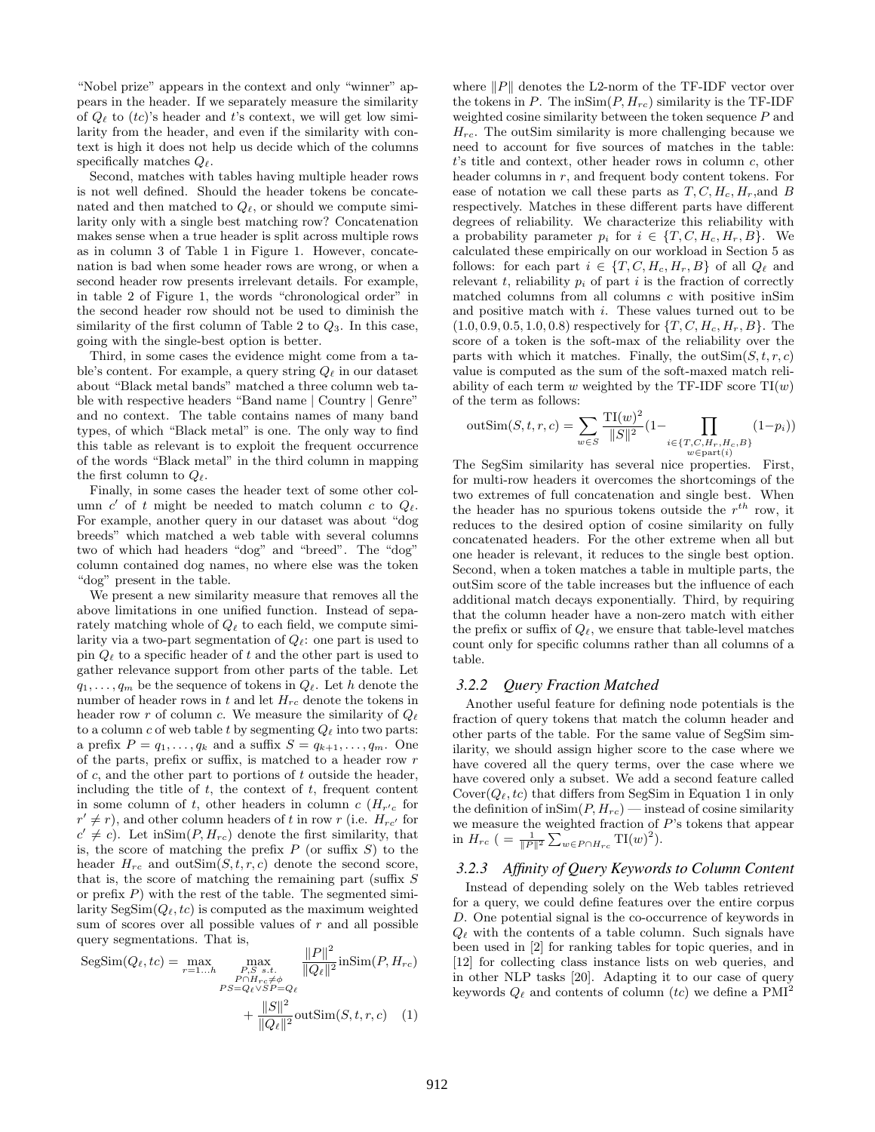"Nobel prize" appears in the context and only "winner" appears in the header. If we separately measure the similarity of  $Q_\ell$  to (tc)'s header and t's context, we will get low similarity from the header, and even if the similarity with context is high it does not help us decide which of the columns specifically matches  $Q_{\ell}$ .

Second, matches with tables having multiple header rows is not well defined. Should the header tokens be concatenated and then matched to  $Q_\ell$ , or should we compute similarity only with a single best matching row? Concatenation makes sense when a true header is split across multiple rows as in column 3 of Table 1 in Figure 1. However, concatenation is bad when some header rows are wrong, or when a second header row presents irrelevant details. For example, in table 2 of Figure 1, the words "chronological order" in the second header row should not be used to diminish the similarity of the first column of Table 2 to  $Q_3$ . In this case, going with the single-best option is better.

Third, in some cases the evidence might come from a table's content. For example, a query string  $Q_{\ell}$  in our dataset about "Black metal bands" matched a three column web table with respective headers "Band name | Country | Genre" and no context. The table contains names of many band types, of which "Black metal" is one. The only way to find this table as relevant is to exploit the frequent occurrence of the words "Black metal" in the third column in mapping the first column to  $Q_{\ell}$ .

Finally, in some cases the header text of some other column  $c'$  of t might be needed to match column  $c$  to  $Q_{\ell}$ . For example, another query in our dataset was about "dog breeds" which matched a web table with several columns two of which had headers "dog" and "breed". The "dog" column contained dog names, no where else was the token "dog" present in the table.

We present a new similarity measure that removes all the above limitations in one unified function. Instead of separately matching whole of  $Q_\ell$  to each field, we compute similarity via a two-part segmentation of  $Q_{\ell}$ : one part is used to pin  $Q_{\ell}$  to a specific header of t and the other part is used to gather relevance support from other parts of the table. Let  $q_1, \ldots, q_m$  be the sequence of tokens in  $Q_\ell$ . Let h denote the number of header rows in  $t$  and let  $H_{rc}$  denote the tokens in header row r of column c. We measure the similarity of  $Q_{\ell}$ to a column c of web table t by segmenting  $Q_\ell$  into two parts: a prefix  $P = q_1, \ldots, q_k$  and a suffix  $S = q_{k+1}, \ldots, q_m$ . One of the parts, prefix or suffix, is matched to a header row r of  $c$ , and the other part to portions of  $t$  outside the header, including the title of  $t$ , the context of  $t$ , frequent content in some column of t, other headers in column c  $(H_{r'c}$  for  $r' \neq r$ , and other column headers of t in row r (i.e.  $H_{rc'}$  for  $c' \neq c$ ). Let in $Sim(P, H_{rc})$  denote the first similarity, that is, the score of matching the prefix  $P$  (or suffix  $S$ ) to the header  $H_{rc}$  and out $\text{Sim}(S, t, r, c)$  denote the second score, that is, the score of matching the remaining part (suffix  $S$ or prefix  $P$ ) with the rest of the table. The segmented similarity SegSim $(Q_\ell, tc)$  is computed as the maximum weighted sum of scores over all possible values of  $r$  and all possible query segmentations. That is,

SegSim(
$$
Q_{\ell}, t_c
$$
) = 
$$
\max_{\substack{P \subseteq I...h \\ P \subseteq Q_{\ell} \vee SP = Q_{\ell} \\ P \subseteq Q_{\ell} \vee SP = Q_{\ell}}} \frac{\|P\|^2}{\|Q_{\ell}\|^2} \text{inSim}(P, H_{rc}) + \frac{\|S\|^2}{\|Q_{\ell}\|^2} \text{inSim}(P, H_{rc}) + \frac{\|S\|^2}{\|Q_{\ell}\|^2} \text{outSim}(S, t, r, c)
$$
 (1)

where  $||P||$  denotes the L2-norm of the TF-IDF vector over the tokens in P. The in $\text{Sim}(P, H_{rc})$  similarity is the TF-IDF weighted cosine similarity between the token sequence P and  $H_{rc}$ . The outSim similarity is more challenging because we need to account for five sources of matches in the table: t's title and context, other header rows in column c, other header columns in r, and frequent body content tokens. For ease of notation we call these parts as  $T, C, H_c, H_r$ , and B respectively. Matches in these different parts have different degrees of reliability. We characterize this reliability with a probability parameter  $p_i$  for  $i \in \{T, C, H_c, H_r, B\}$ . We calculated these empirically on our workload in Section 5 as follows: for each part  $i \in \{T, C, H_c, H_r, B\}$  of all  $Q_\ell$  and relevant  $t$ , reliability  $p_i$  of part  $i$  is the fraction of correctly matched columns from all columns c with positive inSim and positive match with  $i$ . These values turned out to be  $(1.0, 0.9, 0.5, 1.0, 0.8)$  respectively for  $\{T, C, H_c, H_r, B\}$ . The score of a token is the soft-max of the reliability over the parts with which it matches. Finally, the  $\text{outSim}(S, t, r, c)$ value is computed as the sum of the soft-maxed match reliability of each term  $w$  weighted by the TF-IDF score  $TI(w)$ of the term as follows:

outSim(S, t, r, c) = 
$$
\sum_{w \in S} \frac{\text{TI}(w)^2}{\|S\|^2} (1 - \prod_{\substack{i \in \{T, C, H_r, H_c, B\} \\ w \in \text{part}(i)}} (1 - p_i))
$$

The SegSim similarity has several nice properties. First, for multi-row headers it overcomes the shortcomings of the two extremes of full concatenation and single best. When the header has no spurious tokens outside the  $r^{th}$  row, it reduces to the desired option of cosine similarity on fully concatenated headers. For the other extreme when all but one header is relevant, it reduces to the single best option. Second, when a token matches a table in multiple parts, the outSim score of the table increases but the influence of each additional match decays exponentially. Third, by requiring that the column header have a non-zero match with either the prefix or suffix of  $Q_\ell$ , we ensure that table-level matches count only for specific columns rather than all columns of a table.

#### *3.2.2 Query Fraction Matched*

Another useful feature for defining node potentials is the fraction of query tokens that match the column header and other parts of the table. For the same value of SegSim similarity, we should assign higher score to the case where we have covered all the query terms, over the case where we have covered only a subset. We add a second feature called Cover( $Q_{\ell}, \text{tc}$ ) that differs from SegSim in Equation 1 in only the definition of  $\mathrm{inSim}(P, H_{rc})$  — instead of cosine similarity we measure the weighted fraction of  $P$ 's tokens that appear in  $H_{rc}$  ( =  $\frac{1}{\|P\|^2} \sum_{w \in P \cap H_{rc}} \text{TI}(w)^2$ ).

#### *3.2.3 Affinity of Query Keywords to Column Content*

Instead of depending solely on the Web tables retrieved for a query, we could define features over the entire corpus D. One potential signal is the co-occurrence of keywords in  $Q_{\ell}$  with the contents of a table column. Such signals have been used in [2] for ranking tables for topic queries, and in [12] for collecting class instance lists on web queries, and in other NLP tasks [20]. Adapting it to our case of query keywords  $Q_{\ell}$  and contents of column (tc) we define a PMI<sup>2</sup>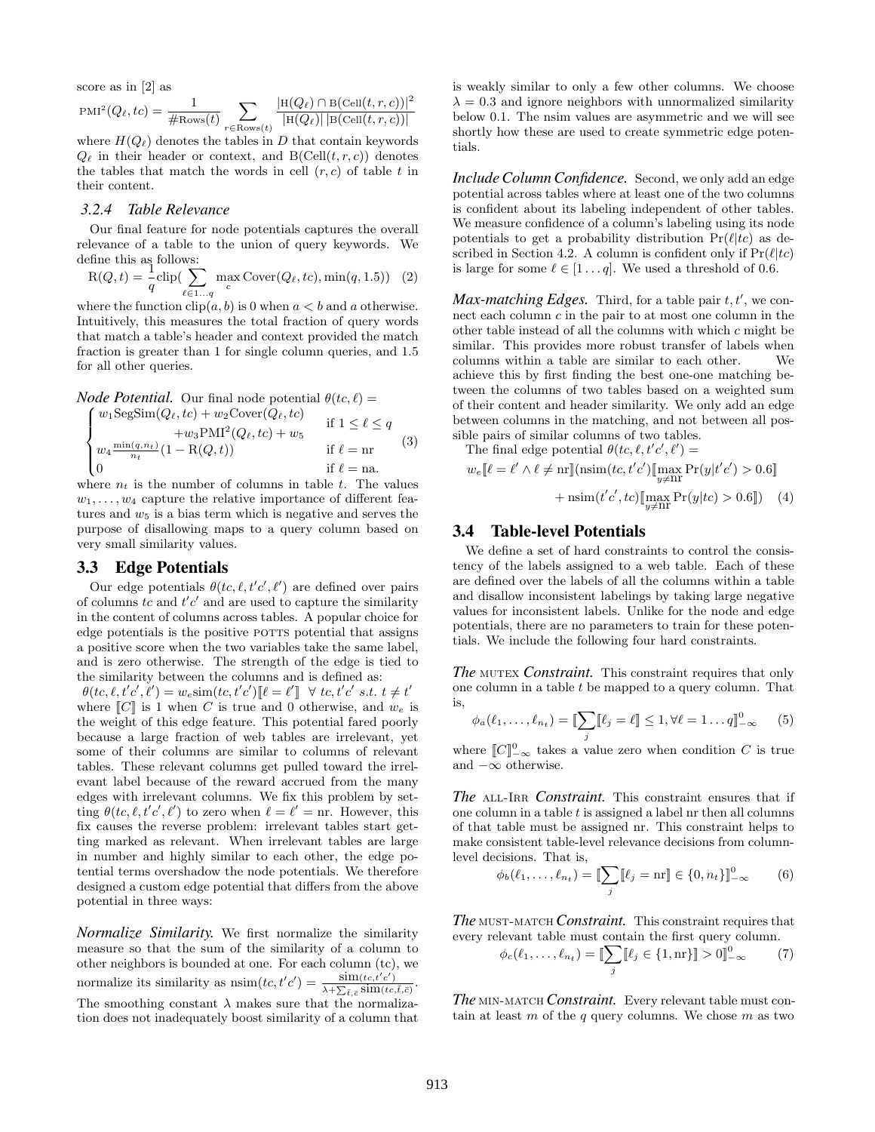score as in [2] as

$$
\text{PMI}^2(Q_\ell,tc) = \frac{1}{\#\text{Rows}(t)} \sum_{r \in \text{Rows}(t)} \frac{|\text{H}(Q_\ell) \cap \text{B}(\text{Cell}(t,r,c))|^2}{|\text{H}(Q_\ell)| |\text{B}(\text{Cell}(t,r,c))|}
$$

where  $H(Q_{\ell})$  denotes the tables in D that contain keywords  $Q_{\ell}$  in their header or context, and B(Cell(t, r, c)) denotes the tables that match the words in cell  $(r, c)$  of table t in their content.

### *3.2.4 Table Relevance*

Our final feature for node potentials captures the overall relevance of a table to the union of query keywords. We

define this as follows:  
\n
$$
R(Q, t) = \frac{1}{q} \text{clip}(\sum_{\ell \in 1...q} \max_{c} \text{Cover}(Q_{\ell}, tc), \min(q, 1.5))
$$
 (2)

where the function  $\text{clip}(a, b)$  is 0 when  $a < b$  and a otherwise. Intuitively, this measures the total fraction of query words that match a table's header and context provided the match fraction is greater than 1 for single column queries, and 1.5 for all other queries.

*Node Potential.* Our final node potential 
$$
\theta(tc, \ell)
$$
 =

$$
\begin{cases}\nw_1 \text{SegSim}(Q_{\ell},tc) + w_2 \text{Cover}(Q_{\ell},tc) & \text{if } 1 \le \ell \le q \\
+w_3 \text{PMI}^2(Q_{\ell},tc) + w_5 & \text{if } \ell \le q \\
w_4 \frac{\min(q, n_t)}{n_t} (1 - \text{R}(Q, t)) & \text{if } \ell = \text{nn} \\
0 & \text{if } \ell = \text{na}.\n\end{cases}
$$
\n(3)

where  $n_t$  is the number of columns in table t. The values  $w_1, \ldots, w_4$  capture the relative importance of different features and  $w_5$  is a bias term which is negative and serves the purpose of disallowing maps to a query column based on very small similarity values.

## 3.3 Edge Potentials

Our edge potentials  $\theta (tc, \ell, t'c', \ell')$  are defined over pairs of columns  $tc$  and  $t'c'$  and are used to capture the similarity in the content of columns across tables. A popular choice for edge potentials is the positive ports potential that assigns a positive score when the two variables take the same label, and is zero otherwise. The strength of the edge is tied to the similarity between the columns and is defined as:

 $\theta (tc, \ell, t'c', \ell') = w_e \text{sim}(tc, t'c') [\![\ell = \ell']\!] \ \ \forall \ tc, t'c' \ s.t. \ t \neq t'$ where  $\llbracket C \rrbracket$  is 1 when C is true and 0 otherwise, and  $w_e$  is the weight of this edge feature. This potential fared poorly because a large fraction of web tables are irrelevant, yet some of their columns are similar to columns of relevant tables. These relevant columns get pulled toward the irrelevant label because of the reward accrued from the many edges with irrelevant columns. We fix this problem by setting  $\theta(tc, \ell, t'c', \ell')$  to zero when  $\ell = \ell' = \text{nr. However, this}$ fix causes the reverse problem: irrelevant tables start getting marked as relevant. When irrelevant tables are large in number and highly similar to each other, the edge potential terms overshadow the node potentials. We therefore designed a custom edge potential that differs from the above potential in three ways:

*Normalize Similarity.* We first normalize the similarity measure so that the sum of the similarity of a column to other neighbors is bounded at one. For each column (tc), we normalize its similarity as  $\text{nsim}(tc, t'c') = \frac{\text{sim}(tc, t'c')}{\sqrt{N}}$  $\frac{\sinh(tc, t^c)}{\lambda + \sum_{\bar{t}, \bar{c}} \sin(tc, \bar{t}, \bar{c})}$ . The smoothing constant  $\lambda$  makes sure that the normalization does not inadequately boost similarity of a column that

is weakly similar to only a few other columns. We choose  $\lambda = 0.3$  and ignore neighbors with unnormalized similarity below 0.1. The nsim values are asymmetric and we will see shortly how these are used to create symmetric edge potentials.

*Include Column Confidence.* Second, we only add an edge potential across tables where at least one of the two columns is confident about its labeling independent of other tables. We measure confidence of a column's labeling using its node potentials to get a probability distribution  $Pr(\ell|tc)$  as described in Section 4.2. A column is confident only if  $Pr(\ell|tc)$ is large for some  $\ell \in [1 \dots q]$ . We used a threshold of 0.6.

 $Max\text{-}matching Edges.$  Third, for a table pair  $t, t',$  we connect each column  $c$  in the pair to at most one column in the other table instead of all the columns with which c might be similar. This provides more robust transfer of labels when columns within a table are similar to each other. We achieve this by first finding the best one-one matching between the columns of two tables based on a weighted sum of their content and header similarity. We only add an edge between columns in the matching, and not between all possible pairs of similar columns of two tables.

The final edge potential 
$$
\theta(tc, \ell, t'c', \ell') =
$$
  
\n
$$
w_e[\ell = \ell' \wedge \ell \neq \text{nr}](\text{nsim}(tc, t'c')[\max_{y \neq \text{nr}} \Pr(y|t'c') > 0.6]) + \text{nsim}(t'c', tc)[\max_{y \neq \text{nr}} \Pr(y|tc) > 0.6]) \quad (4)
$$

## 3.4 Table-level Potentials

We define a set of hard constraints to control the consistency of the labels assigned to a web table. Each of these are defined over the labels of all the columns within a table and disallow inconsistent labelings by taking large negative values for inconsistent labels. Unlike for the node and edge potentials, there are no parameters to train for these potentials. We include the following four hard constraints.

*The* MUTEX *Constraint*. This constraint requires that only one column in a table  $t$  be mapped to a query column. That is,

$$
\phi_a(\ell_1,\ldots,\ell_{n_t}) = \llbracket \sum_j [\ell_j = \ell] \leq 1, \forall \ell = 1 \ldots q \rrbracket_{-\infty}^0 \tag{5}
$$

where  $[\![C]\!]_{-\infty}^0$  takes a value zero when condition C is true and  $-\infty$  otherwise.

*The* ALL-IRR *Constraint*. This constraint ensures that if one column in a table  $t$  is assigned a label nr then all columns of that table must be assigned nr. This constraint helps to make consistent table-level relevance decisions from columnlevel decisions. That is,

$$
\phi_b(\ell_1, ..., \ell_{n_t}) = \llbracket \sum_j [\![\ell_j = \text{nr}]\!] \in \{0, n_t\} \rrbracket_{-\infty}^0 \tag{6}
$$

*The* must-match*Constraint.* This constraint requires that every relevant table must contain the first query column.

$$
\phi_c(\ell_1, ..., \ell_{n_t}) = \llbracket \sum_j [\![\ell_j \in \{1, nr\}]\!] > 0 \rrbracket_{-\infty}^0 \tag{7}
$$

*The* min-match*Constraint.* Every relevant table must contain at least  $m$  of the  $q$  query columns. We chose  $m$  as two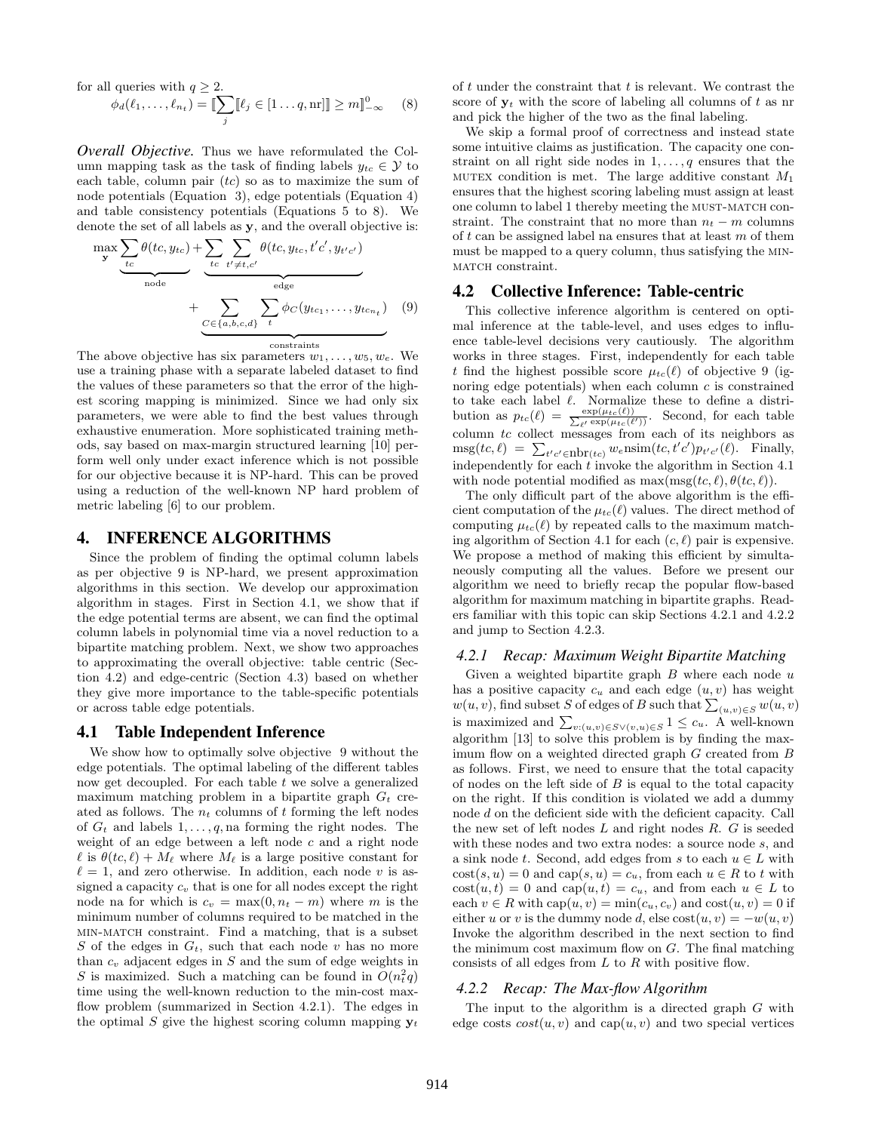for all queries with  $q \geq 2$ .  $\phi_d(\ell_1,\ldots,\ell_{n_t}) = \llbracket \sum$ j  $[\![\ell_j \in [1 \dots q, nr]]\!] \ge m[\![\ell_{-\infty} \quad (8)]$ 

*Overall Objective.* Thus we have reformulated the Column mapping task as the task of finding labels  $y_{tc} \in \mathcal{Y}$  to each table, column pair  $(tc)$  so as to maximize the sum of node potentials (Equation 3), edge potentials (Equation 4) and table consistency potentials (Equations 5 to 8). We denote the set of all labels as y, and the overall objective is:

$$
\underbrace{\sum_{tc} \theta(tc, y_{tc})}_{\text{node}} + \underbrace{\sum_{tc} \sum_{t' \neq t, c'} \theta(tc, y_{tc}, t'c', y_{t'c'})}_{\text{edge}} + \underbrace{\sum_{c \in \{a, b, c, d\}} \sum_{t} \phi_C(y_{tc_1}, \dots, y_{tc_{n_t}})}_{\text{constraints}} \tag{9}
$$

The above objective has six parameters  $w_1, \ldots, w_5, w_e$ . We use a training phase with a separate labeled dataset to find the values of these parameters so that the error of the highest scoring mapping is minimized. Since we had only six parameters, we were able to find the best values through exhaustive enumeration. More sophisticated training methods, say based on max-margin structured learning [10] perform well only under exact inference which is not possible for our objective because it is NP-hard. This can be proved using a reduction of the well-known NP hard problem of metric labeling [6] to our problem.

## 4. INFERENCE ALGORITHMS

Since the problem of finding the optimal column labels as per objective 9 is NP-hard, we present approximation algorithms in this section. We develop our approximation algorithm in stages. First in Section 4.1, we show that if the edge potential terms are absent, we can find the optimal column labels in polynomial time via a novel reduction to a bipartite matching problem. Next, we show two approaches to approximating the overall objective: table centric (Section 4.2) and edge-centric (Section 4.3) based on whether they give more importance to the table-specific potentials or across table edge potentials.

#### 4.1 Table Independent Inference

We show how to optimally solve objective 9 without the edge potentials. The optimal labeling of the different tables now get decoupled. For each table  $t$  we solve a generalized maximum matching problem in a bipartite graph  $G_t$  created as follows. The  $n_t$  columns of t forming the left nodes of  $G_t$  and labels  $1, \ldots, q$ , na forming the right nodes. The weight of an edge between a left node c and a right node  $\ell$  is  $\theta(tc, \ell) + M_{\ell}$  where  $M_{\ell}$  is a large positive constant for  $\ell = 1$ , and zero otherwise. In addition, each node v is assigned a capacity  $c_v$  that is one for all nodes except the right node na for which is  $c_v = \max(0, n_t - m)$  where m is the minimum number of columns required to be matched in the min-match constraint. Find a matching, that is a subset S of the edges in  $G_t$ , such that each node v has no more than  $c_v$  adjacent edges in S and the sum of edge weights in S is maximized. Such a matching can be found in  $O(n_t^2q)$ time using the well-known reduction to the min-cost maxflow problem (summarized in Section 4.2.1). The edges in the optimal S give the highest scoring column mapping  $y_t$ 

of  $t$  under the constraint that  $t$  is relevant. We contrast the score of  $y_t$  with the score of labeling all columns of t as nr and pick the higher of the two as the final labeling.

We skip a formal proof of correctness and instead state some intuitive claims as justification. The capacity one constraint on all right side nodes in  $1, \ldots, q$  ensures that the MUTEX condition is met. The large additive constant  $M_1$ ensures that the highest scoring labeling must assign at least one column to label 1 thereby meeting the must-match constraint. The constraint that no more than  $n_t - m$  columns of t can be assigned label na ensures that at least  $m$  of them must be mapped to a query column, thus satisfying the min-MATCH constraint.

# 4.2 Collective Inference: Table-centric

This collective inference algorithm is centered on optimal inference at the table-level, and uses edges to influence table-level decisions very cautiously. The algorithm works in three stages. First, independently for each table t find the highest possible score  $\mu_{tc}(\ell)$  of objective 9 (ignoring edge potentials) when each column  $c$  is constrained to take each label  $\ell$ . Normalize these to define a distribution as  $p_{tc}(\ell) = \frac{\exp(\mu_{tc}(\ell))}{\sum_{\ell'} \exp(\mu_{tc}(\ell'))}$ . Second, for each table column tc collect messages from each of its neighbors as  $\text{msg}(tc, \ell) = \sum_{t'c' \in \text{nbr}(tc)} w_e \text{nsim}(tc, t'c') p_{t'c'}(\ell).$  Finally, independently for each t invoke the algorithm in Section 4.1 with node potential modified as  $\max(\mathrm{msg}(tc, \ell), \theta(tc, \ell)).$ 

The only difficult part of the above algorithm is the efficient computation of the  $\mu_{tc}(\ell)$  values. The direct method of computing  $\mu_{tc}(\ell)$  by repeated calls to the maximum matching algorithm of Section 4.1 for each  $(c, \ell)$  pair is expensive. We propose a method of making this efficient by simultaneously computing all the values. Before we present our algorithm we need to briefly recap the popular flow-based algorithm for maximum matching in bipartite graphs. Readers familiar with this topic can skip Sections 4.2.1 and 4.2.2 and jump to Section 4.2.3.

#### *4.2.1 Recap: Maximum Weight Bipartite Matching*

Given a weighted bipartite graph  $B$  where each node  $u$ has a positive capacity  $c_u$  and each edge  $(u, v)$  has weight  $w(u, v)$ , find subset S of edges of B such that  $\sum_{(u, v) \in S} w(u, v)$ is maximized and  $\sum_{v:(u,v)\in S\vee(v,u)\in S} 1 \leq c_u$ . A well-known algorithm [13] to solve this problem is by finding the maximum flow on a weighted directed graph G created from B as follows. First, we need to ensure that the total capacity of nodes on the left side of  $B$  is equal to the total capacity on the right. If this condition is violated we add a dummy node d on the deficient side with the deficient capacity. Call the new set of left nodes  $L$  and right nodes  $R$ .  $G$  is seeded with these nodes and two extra nodes: a source node s, and a sink node t. Second, add edges from s to each  $u \in L$  with  $cost(s, u) = 0$  and  $cap(s, u) = c_u$ , from each  $u \in R$  to t with  $\text{cost}(u, t) = 0$  and  $\text{cap}(u, t) = c_u$ , and from each  $u \in L$  to each  $v \in R$  with  $cap(u, v) = min(c_u, c_v)$  and  $cost(u, v) = 0$  if either u or v is the dummy node d, else cost $(u, v) = -w(u, v)$ Invoke the algorithm described in the next section to find the minimum cost maximum flow on  $G$ . The final matching consists of all edges from  $L$  to  $R$  with positive flow.

## *4.2.2 Recap: The Max-flow Algorithm*

The input to the algorithm is a directed graph G with edge costs  $cost(u, v)$  and  $cap(u, v)$  and two special vertices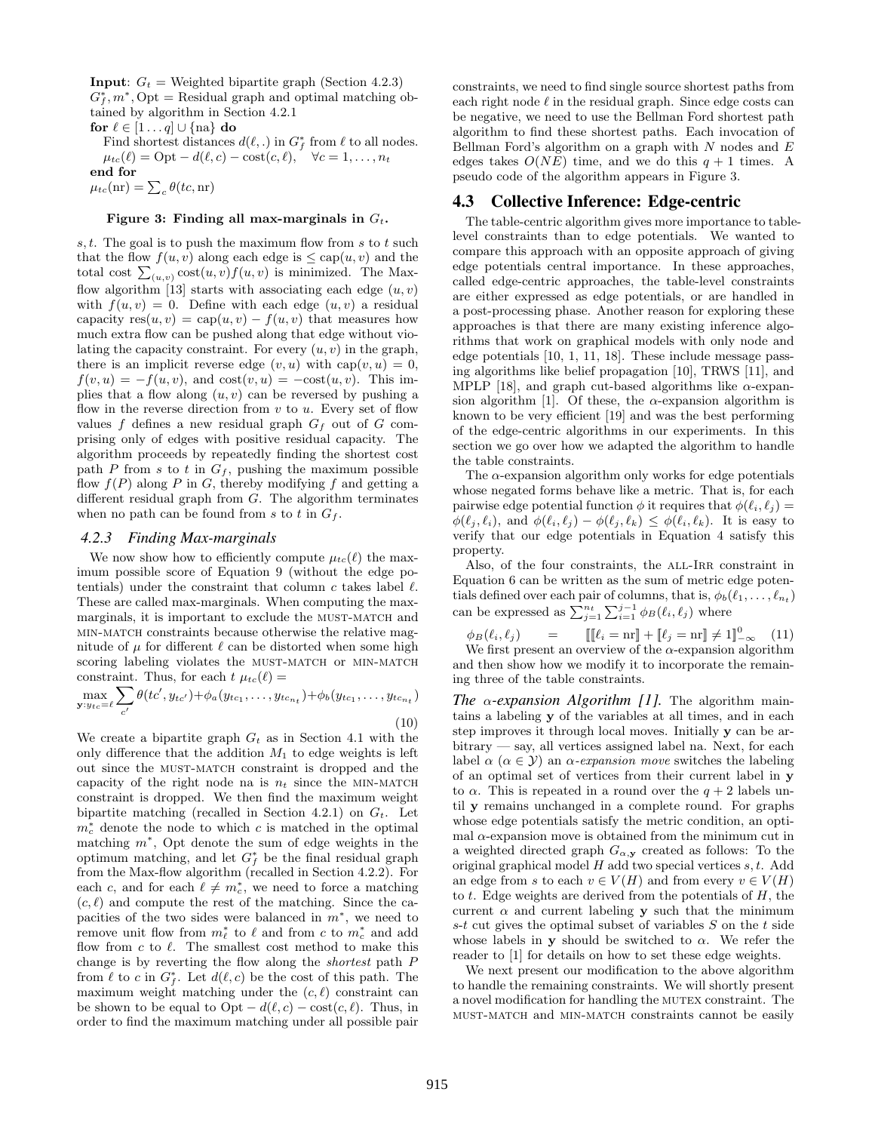**Input:**  $G_t$  = Weighted bipartite graph (Section 4.2.3)  $G_f^*, m^*$ , Opt = Residual graph and optimal matching obtained by algorithm in Section 4.2.1 for  $\ell \in [1 \dots q] \cup \{na\}$  do

Find shortest distances  $d(\ell,.)$  in  $G_f^*$  from  $\ell$  to all nodes.  $\mu_{tc}(\ell) = \text{Opt} - d(\ell, c) - \text{cost}(c, \ell), \quad \forall c = 1, \ldots, n_t$ end for  $\mu_{tc}(\text{nr}) = \sum_{c} \theta(tc, \text{nr})$ 

#### Figure 3: Finding all max-marginals in  $G_t$ .

s, t. The goal is to push the maximum flow from s to t such that the flow  $f(u, v)$  along each edge is  $\leq$  cap $(u, v)$  and the total cost  $\sum_{(u,v)} \text{cost}(u, v) f(u, v)$  is minimized. The Maxflow algorithm [13] starts with associating each edge  $(u, v)$ with  $f(u, v) = 0$ . Define with each edge  $(u, v)$  a residual capacity  $res(u, v) = cap(u, v) - f(u, v)$  that measures how much extra flow can be pushed along that edge without violating the capacity constraint. For every  $(u, v)$  in the graph, there is an implicit reverse edge  $(v, u)$  with  $cap(v, u) = 0$ ,  $f(v, u) = -f(u, v)$ , and  $\text{cost}(v, u) = -\text{cost}(u, v)$ . This implies that a flow along  $(u, v)$  can be reversed by pushing a flow in the reverse direction from  $v$  to  $u$ . Every set of flow values f defines a new residual graph  $G_f$  out of G comprising only of edges with positive residual capacity. The algorithm proceeds by repeatedly finding the shortest cost path  $P$  from  $s$  to  $t$  in  $G_f$ , pushing the maximum possible flow  $f(P)$  along P in G, thereby modifying f and getting a different residual graph from  $G$ . The algorithm terminates when no path can be found from s to t in  $G_f$ .

#### *4.2.3 Finding Max-marginals*

We now show how to efficiently compute  $\mu_{tc}(\ell)$  the maximum possible score of Equation 9 (without the edge potentials) under the constraint that column  $c$  takes label  $\ell$ . These are called max-marginals. When computing the maxmarginals, it is important to exclude the MUST-MATCH and min-match constraints because otherwise the relative magnitude of  $\mu$  for different  $\ell$  can be distorted when some high scoring labeling violates the MUST-MATCH or MIN-MATCH constraint. Thus, for each  $t \mu_{tc}(\ell) =$ 

$$
\max_{\mathbf{y}:y_{tc}=\ell}\sum_{c'}\theta(t c', y_{tc'}) + \phi_a(y_{tc_1},\ldots,y_{tc_{n_t}}) + \phi_b(y_{tc_1},\ldots,y_{tc_{n_t}})
$$
\n(10)

We create a bipartite graph  $G_t$  as in Section 4.1 with the only difference that the addition  $M_1$  to edge weights is left out since the must-match constraint is dropped and the capacity of the right node na is  $n_t$  since the MIN-MATCH constraint is dropped. We then find the maximum weight bipartite matching (recalled in Section 4.2.1) on  $G_t$ . Let  $m_c^*$  denote the node to which c is matched in the optimal matching  $m^*$ , Opt denote the sum of edge weights in the optimum matching, and let  $G_f^*$  be the final residual graph from the Max-flow algorithm (recalled in Section 4.2.2). For each c, and for each  $\ell \neq m_c^*$ , we need to force a matching  $(c, l)$  and compute the rest of the matching. Since the capacities of the two sides were balanced in  $m^*$ , we need to remove unit flow from  $m_{\ell}^*$  to  $\ell$  and from c to  $m_c^*$  and add flow from  $c$  to  $\ell$ . The smallest cost method to make this change is by reverting the flow along the shortest path P from  $\ell$  to c in  $G_f^*$ . Let  $d(\ell, c)$  be the cost of this path. The maximum weight matching under the  $(c, \ell)$  constraint can be shown to be equal to  $Opt - d(\ell, c) - \text{cost}(c, \ell)$ . Thus, in order to find the maximum matching under all possible pair constraints, we need to find single source shortest paths from each right node  $\ell$  in the residual graph. Since edge costs can be negative, we need to use the Bellman Ford shortest path algorithm to find these shortest paths. Each invocation of Bellman Ford's algorithm on a graph with  $N$  nodes and  $E$ edges takes  $O(NE)$  time, and we do this  $q + 1$  times. A pseudo code of the algorithm appears in Figure 3.

# 4.3 Collective Inference: Edge-centric

The table-centric algorithm gives more importance to tablelevel constraints than to edge potentials. We wanted to compare this approach with an opposite approach of giving edge potentials central importance. In these approaches, called edge-centric approaches, the table-level constraints are either expressed as edge potentials, or are handled in a post-processing phase. Another reason for exploring these approaches is that there are many existing inference algorithms that work on graphical models with only node and edge potentials [10, 1, 11, 18]. These include message passing algorithms like belief propagation [10], TRWS [11], and MPLP [18], and graph cut-based algorithms like  $\alpha$ -expansion algorithm [1]. Of these, the  $\alpha$ -expansion algorithm is known to be very efficient [19] and was the best performing of the edge-centric algorithms in our experiments. In this section we go over how we adapted the algorithm to handle the table constraints.

The  $\alpha$ -expansion algorithm only works for edge potentials whose negated forms behave like a metric. That is, for each pairwise edge potential function  $\phi$  it requires that  $\phi(\ell_i, \ell_j) =$  $\phi(\ell_i, \ell_i)$ , and  $\phi(\ell_i, \ell_i) - \phi(\ell_i, \ell_k) \leq \phi(\ell_i, \ell_k)$ . It is easy to verify that our edge potentials in Equation 4 satisfy this property.

Also, of the four constraints, the ALL-IRR constraint in Equation 6 can be written as the sum of metric edge potentials defined over each pair of columns, that is,  $\phi_b(\ell_1, \ldots, \ell_{n_t})$ can be expressed as  $\sum_{j=1}^{n_t} \sum_{i=1}^{j-1} \phi_B(\ell_i, \ell_j)$  where

 $\phi_B(\ell_i, \ell_j) = \text{[[}[\ell_i = \text{nr}]\!] + [\ell_j = \text{nr}]\!] \neq 1 \text{]}^0_{-\infty}$  (11) We first present an overview of the  $\alpha$ -expansion algorithm and then show how we modify it to incorporate the remaining three of the table constraints.

*The* α*-expansion Algorithm [1].* The algorithm maintains a labeling y of the variables at all times, and in each step improves it through local moves. Initially y can be arbitrary — say, all vertices assigned label na. Next, for each label  $\alpha$  ( $\alpha \in \mathcal{Y}$ ) an  $\alpha$ -expansion move switches the labeling of an optimal set of vertices from their current label in y to  $\alpha$ . This is repeated in a round over the  $q + 2$  labels until y remains unchanged in a complete round. For graphs whose edge potentials satisfy the metric condition, an optimal  $\alpha$ -expansion move is obtained from the minimum cut in a weighted directed graph  $G_{\alpha, \mathbf{y}}$  created as follows: To the original graphical model  $H$  add two special vertices  $s, t$ . Add an edge from s to each  $v \in V(H)$  and from every  $v \in V(H)$ to  $t$ . Edge weights are derived from the potentials of  $H$ , the current  $\alpha$  and current labeling y such that the minimum s-t cut gives the optimal subset of variables  $S$  on the t side whose labels in y should be switched to  $\alpha$ . We refer the reader to [1] for details on how to set these edge weights.

We next present our modification to the above algorithm to handle the remaining constraints. We will shortly present a novel modification for handling the mutex constraint. The must-match and min-match constraints cannot be easily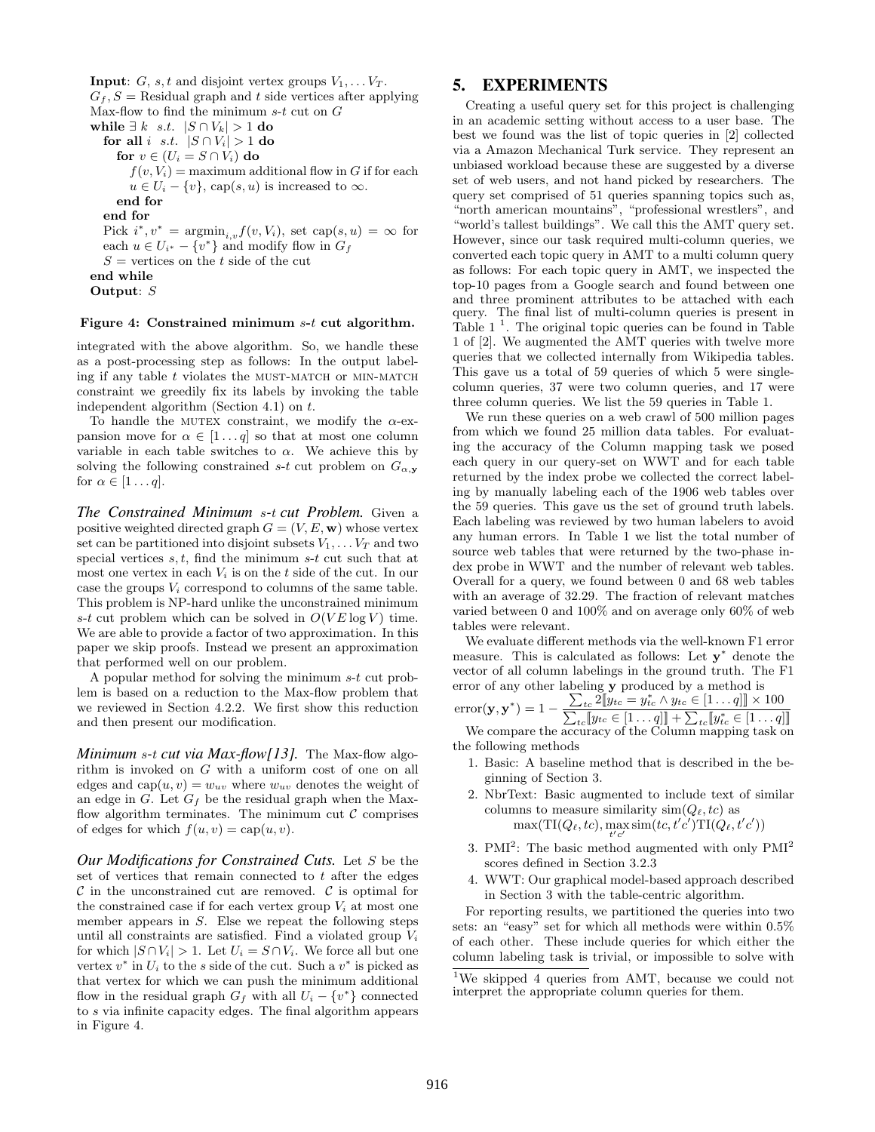**Input:**  $G$ ,  $s$ ,  $t$  and disjoint vertex groups  $V_1, \ldots V_T$ .  $G_f$ ,  $S$  = Residual graph and t side vertices after applying Max-flow to find the minimum  $s-t$  cut on  $G$ while  $\exists k \; s.t. \; |S \cap V_k| > 1$  do for all i s.t.  $|S \cap V_i| > 1$  do for  $v \in (U_i = S \cap V_i)$  do  $f(v, V_i) =$  maximum additional flow in G if for each  $u \in U_i - \{v\}, \, \text{cap}(s, u)$  is increased to  $\infty$ . end for end for Pick  $i^*, v^* = \operatorname{argmin}_{i,v} f(v, V_i)$ , set  $\operatorname{cap}(s, u) = \infty$  for each  $u \in U_{i^*} - \{v^*\}\$ and modify flow in  $G_f$  $S =$  vertices on the t side of the cut end while Output: S

#### Figure 4: Constrained minimum s-t cut algorithm.

integrated with the above algorithm. So, we handle these as a post-processing step as follows: In the output labeling if any table  $t$  violates the MUST-MATCH or MIN-MATCH constraint we greedily fix its labels by invoking the table independent algorithm (Section 4.1) on  $t$ .

To handle the MUTEX constraint, we modify the  $\alpha$ -expansion move for  $\alpha \in [1 \dots q]$  so that at most one column variable in each table switches to  $\alpha$ . We achieve this by solving the following constrained s-t cut problem on  $G_{\alpha,\mathbf{v}}$ for  $\alpha \in [1 \dots q]$ .

*The Constrained Minimum* s*-*t *cut Problem.* Given a positive weighted directed graph  $G = (V, E, \mathbf{w})$  whose vertex set can be partitioned into disjoint subsets  $V_1, \ldots V_T$  and two special vertices  $s, t$ , find the minimum  $s-t$  cut such that at most one vertex in each  $V_i$  is on the t side of the cut. In our case the groups  $V_i$  correspond to columns of the same table. This problem is NP-hard unlike the unconstrained minimum s-t cut problem which can be solved in  $O(VE \log V)$  time. We are able to provide a factor of two approximation. In this paper we skip proofs. Instead we present an approximation that performed well on our problem.

A popular method for solving the minimum s-t cut problem is based on a reduction to the Max-flow problem that we reviewed in Section 4.2.2. We first show this reduction and then present our modification.

*Minimum* s*-*t *cut via Max-flow[13].* The Max-flow algorithm is invoked on G with a uniform cost of one on all edges and  $cap(u, v) = w_{uv}$  where  $w_{uv}$  denotes the weight of an edge in G. Let  $G_f$  be the residual graph when the Maxflow algorithm terminates. The minimum cut  $\mathcal C$  comprises of edges for which  $f(u, v) = \text{cap}(u, v)$ .

*Our Modifications for Constrained Cuts.* Let S be the set of vertices that remain connected to  $t$  after the edges  $\mathcal C$  in the unconstrained cut are removed.  $\mathcal C$  is optimal for the constrained case if for each vertex group  $V_i$  at most one member appears in  $S$ . Else we repeat the following steps until all constraints are satisfied. Find a violated group  $V_i$ for which  $|S \cap V_i| > 1$ . Let  $U_i = S \cap V_i$ . We force all but one vertex  $v^*$  in  $U_i$  to the s side of the cut. Such a  $v^*$  is picked as that vertex for which we can push the minimum additional flow in the residual graph  $G_f$  with all  $U_i - \{v^*\}$  connected to s via infinite capacity edges. The final algorithm appears in Figure 4.

# 5. EXPERIMENTS

Creating a useful query set for this project is challenging in an academic setting without access to a user base. The best we found was the list of topic queries in [2] collected via a Amazon Mechanical Turk service. They represent an unbiased workload because these are suggested by a diverse set of web users, and not hand picked by researchers. The query set comprised of 51 queries spanning topics such as, "north american mountains", "professional wrestlers", and "world's tallest buildings". We call this the AMT query set. However, since our task required multi-column queries, we converted each topic query in AMT to a multi column query as follows: For each topic query in AMT, we inspected the top-10 pages from a Google search and found between one and three prominent attributes to be attached with each query. The final list of multi-column queries is present in Table  $1<sup>1</sup>$ . The original topic queries can be found in Table 1 of [2]. We augmented the AMT queries with twelve more queries that we collected internally from Wikipedia tables. This gave us a total of 59 queries of which 5 were singlecolumn queries, 37 were two column queries, and 17 were three column queries. We list the 59 queries in Table 1.

We run these queries on a web crawl of 500 million pages from which we found 25 million data tables. For evaluating the accuracy of the Column mapping task we posed each query in our query-set on WWT and for each table returned by the index probe we collected the correct labeling by manually labeling each of the 1906 web tables over the 59 queries. This gave us the set of ground truth labels. Each labeling was reviewed by two human labelers to avoid any human errors. In Table 1 we list the total number of source web tables that were returned by the two-phase index probe in WWT and the number of relevant web tables. Overall for a query, we found between 0 and 68 web tables with an average of 32.29. The fraction of relevant matches varied between 0 and 100% and on average only 60% of web tables were relevant.

We evaluate different methods via the well-known F1 error measure. This is calculated as follows: Let  $y^*$  denote the vector of all column labelings in the ground truth. The F1 error of any other labeling y produced by a method is  $\text{error}(\mathbf{y}, \mathbf{y}^*) = 1 - \frac{\sum_{tc} 2[\![y_{tc} = y_{tc}^* \wedge y_{tc} \in [1 \dots q]] \times 100}{\sum_{\mathbf{y}} \mathbb{E}[\mathbf{y}_{tc} = \mathbf{y}_{tc}^* \wedge \mathbf{y}_{tc}^* \in [1 \dots q]]}$ 

 $\sum_{tc} [y_{tc} \in [1 \dots q]] + \sum_{tc} [y_{tc}^* \in [1 \dots q]]$ We compare the accuracy of the Column mapping task on the following methods

- 1. Basic: A baseline method that is described in the beginning of Section 3.
- 2. NbrText: Basic augmented to include text of similar columns to measure similarity  $\text{sim}(Q_\ell, tc)$  as  $\max(\text{TI}(Q_\ell,tc), \max_{t'c'}\text{sim}(tc, t'c')\text{TI}(Q_\ell, t'c'))$
- 3.  $PMI<sup>2</sup>$ : The basic method augmented with only  $PMI<sup>2</sup>$ scores defined in Section 3.2.3
- 4. WWT: Our graphical model-based approach described in Section 3 with the table-centric algorithm.

For reporting results, we partitioned the queries into two sets: an "easy" set for which all methods were within 0.5% of each other. These include queries for which either the column labeling task is trivial, or impossible to solve with

<sup>1</sup>We skipped 4 queries from AMT, because we could not interpret the appropriate column queries for them.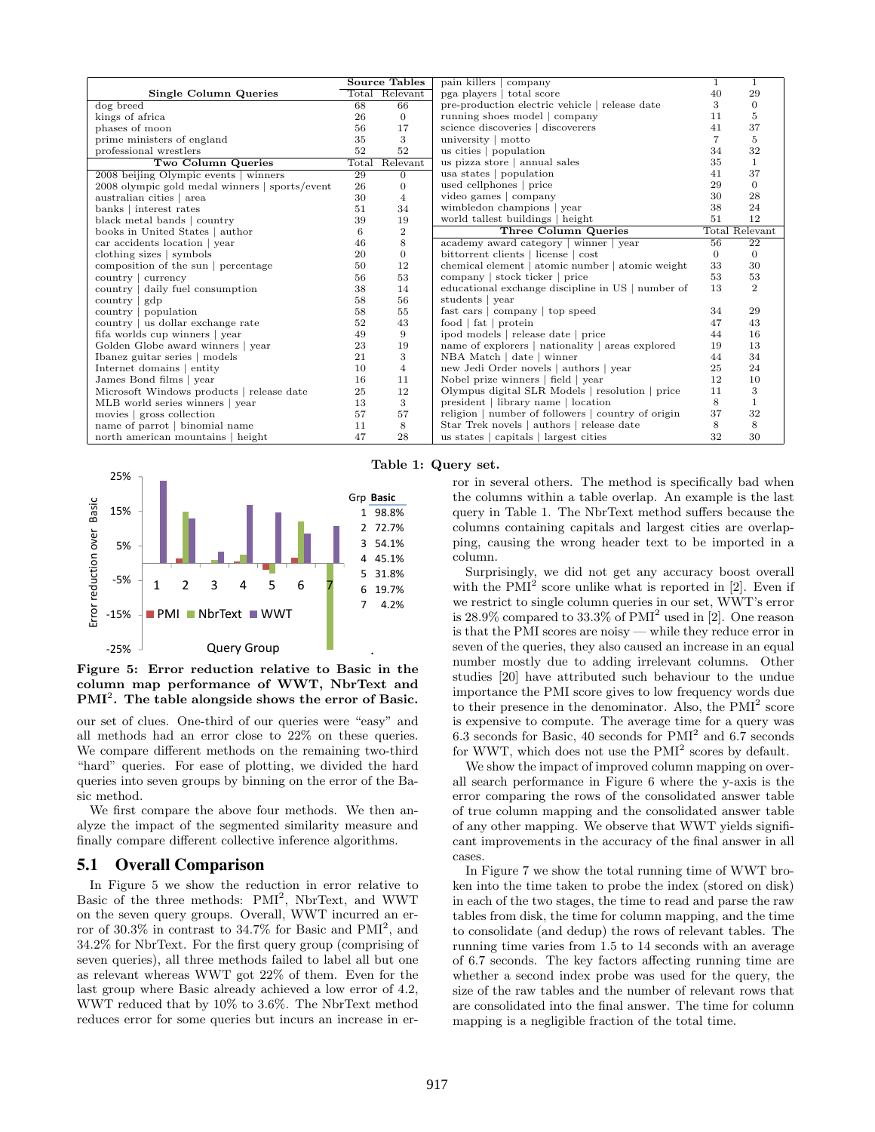|                                                |    | <b>Source Tables</b> | pain killers   company                             |                      | $\mathbf{1}$           |
|------------------------------------------------|----|----------------------|----------------------------------------------------|----------------------|------------------------|
| <b>Single Column Queries</b>                   |    | Total Relevant       | pga players total score                            |                      | 29                     |
| dog breed                                      |    | 66                   | pre-production electric vehicle   release date     |                      | $\overline{0}$         |
| kings of africa                                |    | $\theta$             | running shoes model   company                      |                      | 5                      |
| phases of moon                                 |    | 17                   | science discoveries   discoverers                  | 41                   | 37                     |
| prime ministers of england                     |    | 3                    | university $\vert$ motto                           | $\overline{7}$<br>34 | 5                      |
| professional wrestlers                         |    | 52                   | us cities $\vert$ population                       |                      | 32                     |
| Two Column Queries                             |    | Relevant             | us pizza store   annual sales                      | 35                   | $\mathbf{1}$           |
| 2008 beijing Olympic events   winners          |    | $\Omega$             | usa states $\vert$ population                      | 41                   | 37                     |
| 2008 olympic gold medal winners   sports/event |    | $\Omega$             | used cellphones   price                            | 29                   | $\theta$               |
| australian cities   area                       |    | $\overline{4}$       | video games   company                              | 30                   | 28                     |
| banks   interest rates                         | 51 | 34                   | wimbledon champions   year                         | 38                   | 24                     |
| black metal bands   country                    |    | 19                   | world tallest buildings   height                   | 51                   | 12                     |
| books in United States   author                |    | $\overline{2}$       | <b>Three Column Queries</b>                        |                      | Total Relevant         |
| car accidents location   year                  | 46 | 8                    | academy award category   winner   year             | 56                   | 22                     |
| clothing sizes   symbols                       | 20 | $\theta$             | bittorrent clients   license   cost                | $\Omega$             | $\theta$               |
| composition of the sun   percentage            | 50 | 12                   | chemical element   atomic number   atomic weight   | 33                   | 30                     |
| $country$   $currency$                         | 56 | 53                   | company   stock ticker   price                     | 53                   | 53                     |
| daily fuel consumption<br>country              | 38 | 14                   | educational exchange discipline in US   number of  | 13                   | $\mathcal{D}_{\alpha}$ |
| country<br>gdp                                 | 58 | 56                   | students   year                                    |                      |                        |
| population<br>country                          | 58 | 55                   | fast cars   company   top speed                    | 34                   | 29                     |
| $country$   us dollar exchange rate            | 52 | 43                   | food   $fat$   protein                             | 47                   | 43                     |
| fifa worlds cup winners   year                 | 49 | 9                    | ipod models   release date   price                 | 44                   | 16                     |
| Golden Globe award winners   year              | 23 | 19                   | name of explorers   nationality   areas explored   | 19                   | 13                     |
| Ibanez guitar series   models                  | 21 | 3                    | NBA Match   date   winner                          | 44                   | 34                     |
| Internet domains   entity                      | 10 | $\overline{4}$       | new Jedi Order novels   authors   year             | 25                   | 24                     |
| James Bond films   year                        | 16 | 11                   | Nobel prize winners   field   year                 | 12                   | 10                     |
| Microsoft Windows products   release date      |    | 12                   | Olympus digital SLR Models   resolution   price    | 11                   | 3                      |
| MLB world series winners   year                |    | 3                    | president   library name   location                | 8                    | $\mathbf{1}$           |
| movies   gross collection                      |    | 57                   | religion   number of followers   country of origin | 37                   | 32                     |
| name of parrot   binomial name                 |    | 8                    | Star Trek novels   authors   release date          | 8                    | 8                      |
| north american mountains   height              |    | 28                   | us states $\vert$ capitals $\vert$ largest cities  | 32                   | 30                     |



Figure 5: Error reduction relative to Basic in the column map performance of WWT, NbrText and PMI<sup>2</sup>. The table alongside shows the error of Basic.

our set of clues. One-third of our queries were "easy" and all methods had an error close to 22% on these queries. We compare different methods on the remaining two-third "hard" queries. For ease of plotting, we divided the hard queries into seven groups by binning on the error of the Basic method.

We first compare the above four methods. We then analyze the impact of the segmented similarity measure and finally compare different collective inference algorithms.

# 5.1 Overall Comparison

In Figure 5 we show the reduction in error relative to Basic of the three methods: PMI<sup>2</sup>, NbrText, and WWT on the seven query groups. Overall, WWT incurred an error of 30.3% in contrast to 34.7% for Basic and PMI<sup>2</sup>, and 34.2% for NbrText. For the first query group (comprising of seven queries), all three methods failed to label all but one as relevant whereas WWT got 22% of them. Even for the last group where Basic already achieved a low error of 4.2, WWT reduced that by 10% to 3.6%. The NbrText method reduces error for some queries but incurs an increase in er-

#### Table 1: Query set.

ror in several others. The method is specifically bad when the columns within a table overlap. An example is the last query in Table 1. The NbrText method suffers because the columns containing capitals and largest cities are overlapping, causing the wrong header text to be imported in a column.

Surprisingly, we did not get any accuracy boost overall with the  $PMI<sup>2</sup>$  score unlike what is reported in [2]. Even if we restrict to single column queries in our set, WWT's error is  $28.9\%$  compared to  $33.3\%$  of PMI<sup>2</sup> used in [2]. One reason is that the PMI scores are noisy — while they reduce error in seven of the queries, they also caused an increase in an equal number mostly due to adding irrelevant columns. Other studies [20] have attributed such behaviour to the undue importance the PMI score gives to low frequency words due to their presence in the denominator. Also, the  $PMI<sup>2</sup>$  score is expensive to compute. The average time for a query was 6.3 seconds for Basic, 40 seconds for  $PMI<sup>2</sup>$  and 6.7 seconds for WWT, which does not use the  $PMI<sup>2</sup>$  scores by default.

We show the impact of improved column mapping on overall search performance in Figure 6 where the y-axis is the error comparing the rows of the consolidated answer table of true column mapping and the consolidated answer table of any other mapping. We observe that WWT yields significant improvements in the accuracy of the final answer in all cases.

In Figure 7 we show the total running time of WWT broken into the time taken to probe the index (stored on disk) in each of the two stages, the time to read and parse the raw tables from disk, the time for column mapping, and the time to consolidate (and dedup) the rows of relevant tables. The running time varies from 1.5 to 14 seconds with an average of 6.7 seconds. The key factors affecting running time are whether a second index probe was used for the query, the size of the raw tables and the number of relevant rows that are consolidated into the final answer. The time for column mapping is a negligible fraction of the total time.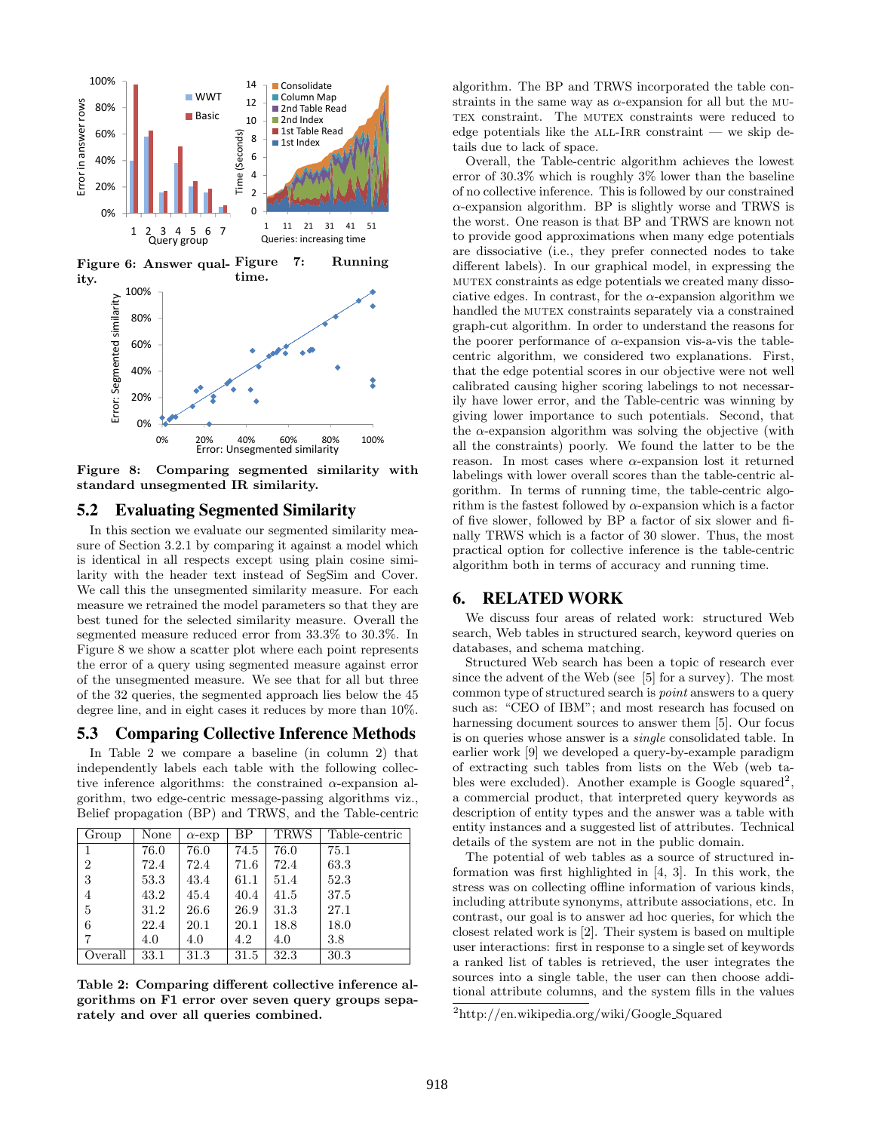

Figure 8: Comparing segmented similarity with standard unsegmented IR similarity.

# 5.2 Evaluating Segmented Similarity

In this section we evaluate our segmented similarity measure of Section 3.2.1 by comparing it against a model which is identical in all respects except using plain cosine similarity with the header text instead of SegSim and Cover. We call this the unsegmented similarity measure. For each measure we retrained the model parameters so that they are best tuned for the selected similarity measure. Overall the segmented measure reduced error from 33.3% to 30.3%. In Figure 8 we show a scatter plot where each point represents the error of a query using segmented measure against error of the unsegmented measure. We see that for all but three of the 32 queries, the segmented approach lies below the 45 degree line, and in eight cases it reduces by more than 10%.

#### 5.3 Comparing Collective Inference Methods

In Table 2 we compare a baseline (in column 2) that independently labels each table with the following collective inference algorithms: the constrained  $\alpha$ -expansion algorithm, two edge-centric message-passing algorithms viz., Belief propagation (BP) and TRWS, and the Table-centric

| Group          | None | $\alpha$ -exp | BP   | <b>TRWS</b> | Table-centric |
|----------------|------|---------------|------|-------------|---------------|
| 1              | 76.0 | 76.0          | 74.5 | 76.0        | 75.1          |
| $\overline{2}$ | 72.4 | 72.4          | 71.6 | 72.4        | 63.3          |
| 3              | 53.3 | 43.4          | 61.1 | 51.4        | 52.3          |
| 4              | 43.2 | 45.4          | 40.4 | 41.5        | 37.5          |
| 5              | 31.2 | 26.6          | 26.9 | 31.3        | 27.1          |
| 6              | 22.4 | 20.1          | 20.1 | 18.8        | 18.0          |
| 7              | 4.0  | 4.0           | 4.2  | 4.0         | 3.8           |
| Overall        | 33.1 | 31.3          | 31.5 | 32.3        | 30.3          |

Table 2: Comparing different collective inference algorithms on F1 error over seven query groups separately and over all queries combined.

algorithm. The BP and TRWS incorporated the table constraints in the same way as  $\alpha$ -expansion for all but the MU-TEX constraint. The MUTEX constraints were reduced to edge potentials like the  $ALL-IRR$  constraint — we skip details due to lack of space.

Overall, the Table-centric algorithm achieves the lowest error of 30.3% which is roughly 3% lower than the baseline of no collective inference. This is followed by our constrained  $\alpha$ -expansion algorithm. BP is slightly worse and TRWS is the worst. One reason is that BP and TRWS are known not to provide good approximations when many edge potentials are dissociative (i.e., they prefer connected nodes to take different labels). In our graphical model, in expressing the mutex constraints as edge potentials we created many dissociative edges. In contrast, for the  $\alpha$ -expansion algorithm we handled the MUTEX constraints separately via a constrained graph-cut algorithm. In order to understand the reasons for the poorer performance of  $\alpha$ -expansion vis-a-vis the tablecentric algorithm, we considered two explanations. First, that the edge potential scores in our objective were not well calibrated causing higher scoring labelings to not necessarily have lower error, and the Table-centric was winning by giving lower importance to such potentials. Second, that the  $\alpha$ -expansion algorithm was solving the objective (with all the constraints) poorly. We found the latter to be the reason. In most cases where  $\alpha$ -expansion lost it returned labelings with lower overall scores than the table-centric algorithm. In terms of running time, the table-centric algorithm is the fastest followed by  $\alpha$ -expansion which is a factor of five slower, followed by BP a factor of six slower and finally TRWS which is a factor of 30 slower. Thus, the most practical option for collective inference is the table-centric algorithm both in terms of accuracy and running time.

# 6. RELATED WORK

We discuss four areas of related work: structured Web search, Web tables in structured search, keyword queries on databases, and schema matching.

Structured Web search has been a topic of research ever since the advent of the Web (see [5] for a survey). The most common type of structured search is point answers to a query such as: "CEO of IBM"; and most research has focused on harnessing document sources to answer them [5]. Our focus is on queries whose answer is a single consolidated table. In earlier work [9] we developed a query-by-example paradigm of extracting such tables from lists on the Web (web tables were excluded). Another example is Google squared<sup>2</sup>, a commercial product, that interpreted query keywords as description of entity types and the answer was a table with entity instances and a suggested list of attributes. Technical details of the system are not in the public domain.

The potential of web tables as a source of structured information was first highlighted in [4, 3]. In this work, the stress was on collecting offline information of various kinds, including attribute synonyms, attribute associations, etc. In contrast, our goal is to answer ad hoc queries, for which the closest related work is [2]. Their system is based on multiple user interactions: first in response to a single set of keywords a ranked list of tables is retrieved, the user integrates the sources into a single table, the user can then choose additional attribute columns, and the system fills in the values

<sup>2</sup>http://en.wikipedia.org/wiki/Google Squared